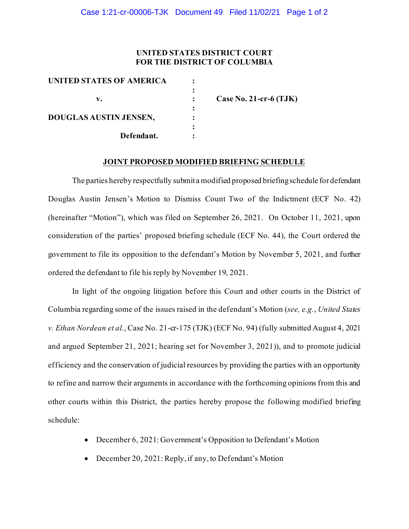### **UNITED STATES DISTRICT COURT FOR THE DISTRICT OF COLUMBIA**

| Case No. 21-cr-6 $(TJK)$ |
|--------------------------|
|                          |
|                          |
|                          |
|                          |
|                          |

#### **JOINT PROPOSED MODIFIED BRIEFING SCHEDULE**

The parties hereby respectfully submit a modified proposed briefing schedule for defendant Douglas Austin Jensen's Motion to Dismiss Count Two of the Indictment (ECF No. 42) (hereinafter "Motion"), which was filed on September 26, 2021. On October 11, 2021, upon consideration of the parties' proposed briefing schedule (ECF No. 44), the Court ordered the government to file its opposition to the defendant's Motion by November 5, 2021, and further ordered the defendant to file his reply by November 19, 2021.

In light of the ongoing litigation before this Court and other courts in the District of Columbia regarding some of the issues raised in the defendant's Motion (*see, e.g.*, *United States v. Ethan Nordean et al.*, Case No. 21-cr-175 (TJK) (ECF No. 94) (fully submitted August 4, 2021 and argued September 21, 2021; hearing set for November 3, 2021)), and to promote judicial efficiency and the conservation of judicial resources by providing the parties with an opportunity to refine and narrow their arguments in accordance with the forthcoming opinions from this and other courts within this District, the parties hereby propose the following modified briefing schedule:

- December 6, 2021: Government's Opposition to Defendant's Motion
- December 20, 2021: Reply, if any, to Defendant's Motion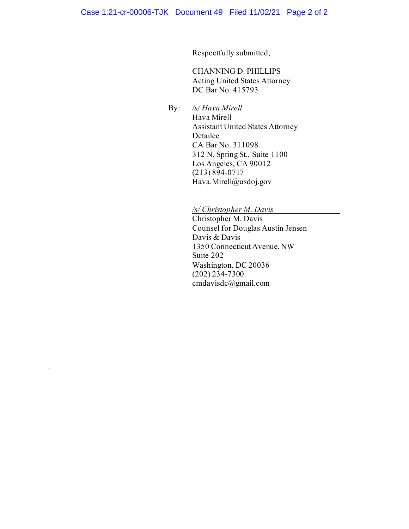Respectfully submitted,

CHANNING D. PHILLIPS Acting United States Attorney DC Bar No. 415793

By: */s/ Hava Mirell*

.

Hava Mirell Assistant United States Attorney Detailee CA Bar No. 311098 312 N. Spring St., Suite 1100 Los Angeles, CA 90012 (213) 894-0717 Hava.Mirell@usdoj.gov

# */s/ Christopher M. Davis*

Christopher M. Davis Counsel for Douglas Austin Jensen Davis & Davis 1350 Connecticut Avenue, NW Suite 202 Washington, DC 20036  $(202)$   $234 - 7300$ cmdavisdc@gmail.com